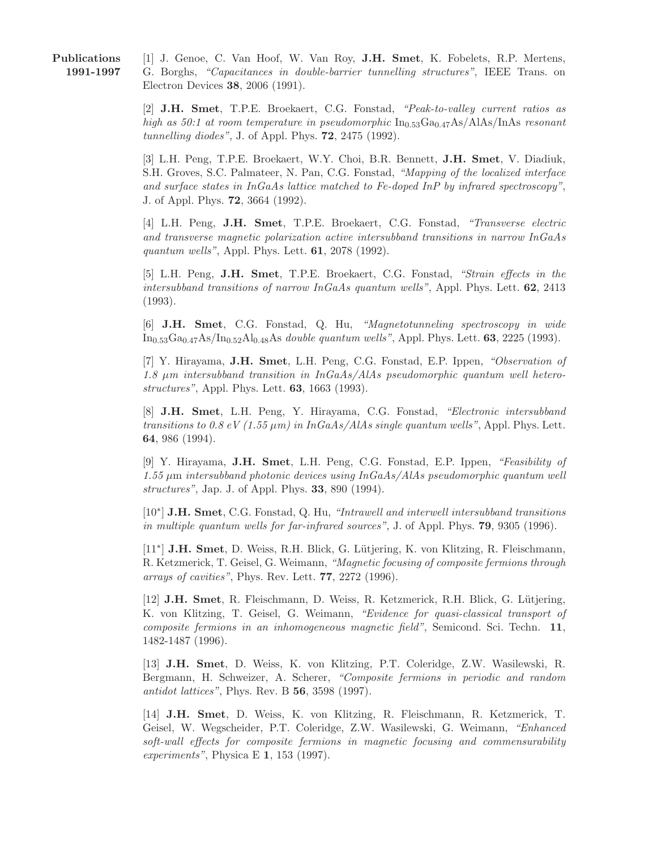Publications 1991-1997

[1] J. Genoe, C. Van Hoof, W. Van Roy, J.H. Smet, K. Fobelets, R.P. Mertens, G. Borghs, "Capacitances in double-barrier tunnelling structures", IEEE Trans. on Electron Devices 38, 2006 (1991).

[2] J.H. Smet, T.P.E. Broekaert, C.G. Fonstad, "Peak-to-valley current ratios as high as 50:1 at room temperature in pseudomorphic  $In_{0.53}Ga_{0.47}As/AlAs/InAs$  resonant tunnelling diodes", J. of Appl. Phys. 72, 2475 (1992).

[3] L.H. Peng, T.P.E. Broekaert, W.Y. Choi, B.R. Bennett, J.H. Smet, V. Diadiuk, S.H. Groves, S.C. Palmateer, N. Pan, C.G. Fonstad, "Mapping of the localized interface and surface states in InGaAs lattice matched to Fe-doped InP by infrared spectroscopy", J. of Appl. Phys. 72, 3664 (1992).

[4] L.H. Peng, J.H. Smet, T.P.E. Broekaert, C.G. Fonstad, "Transverse electric and transverse magnetic polarization active intersubband transitions in narrow InGaAs quantum wells", Appl. Phys. Lett. **61**, 2078 (1992).

[5] L.H. Peng, J.H. Smet, T.P.E. Broekaert, C.G. Fonstad, "Strain effects in the intersubband transitions of narrow  $InGaAs$  quantum wells", Appl. Phys. Lett. 62, 2413 (1993).

[6] J.H. Smet, C.G. Fonstad, Q. Hu, "Magnetotunneling spectroscopy in wide  $In_{0.53}Ga_{0.47}As/In_{0.52}Al_{0.48}As$  double quantum wells", Appl. Phys. Lett. 63, 2225 (1993).

[7] Y. Hirayama, J.H. Smet, L.H. Peng, C.G. Fonstad, E.P. Ippen, "Observation of 1.8  $\mu$ m intersubband transition in InGaAs/AlAs pseudomorphic quantum well heterostructures", Appl. Phys. Lett. 63, 1663 (1993).

[8] J.H. Smet, L.H. Peng, Y. Hirayama, C.G. Fonstad, "Electronic intersubband transitions to 0.8 eV (1.55  $\mu$ m) in InGaAs/AlAs single quantum wells", Appl. Phys. Lett. 64, 986 (1994).

[9] Y. Hirayama, J.H. Smet, L.H. Peng, C.G. Fonstad, E.P. Ippen, "Feasibility of  $1.55 \mu$ m intersubband photonic devices using InGaAs/AlAs pseudomorphic quantum well structures", Jap. J. of Appl. Phys. 33, 890 (1994).

[10<sup>∗</sup>] **J.H. Smet**, C.G. Fonstad, Q. Hu, "Intrawell and interwell intersubband transitions in multiple quantum wells for far-infrared sources", J. of Appl. Phys. **79**, 9305 (1996).

[11<sup>\*</sup>] J.H. Smet, D. Weiss, R.H. Blick, G. Lütjering, K. von Klitzing, R. Fleischmann, R. Ketzmerick, T. Geisel, G. Weimann, "Magnetic focusing of composite fermions through arrays of cavities", Phys. Rev. Lett. 77, 2272 (1996).

[12] **J.H. Smet**, R. Fleischmann, D. Weiss, R. Ketzmerick, R.H. Blick, G. Lütjering, K. von Klitzing, T. Geisel, G. Weimann, "Evidence for quasi-classical transport of composite fermions in an inhomogeneous magnetic field", Semicond. Sci. Techn. 11, 1482-1487 (1996).

[13] J.H. Smet, D. Weiss, K. von Klitzing, P.T. Coleridge, Z.W. Wasilewski, R. Bergmann, H. Schweizer, A. Scherer, "Composite fermions in periodic and random antidot lattices", Phys. Rev. B 56, 3598 (1997).

[14] J.H. Smet, D. Weiss, K. von Klitzing, R. Fleischmann, R. Ketzmerick, T. Geisel, W. Wegscheider, P.T. Coleridge, Z.W. Wasilewski, G. Weimann, "Enhanced soft-wall effects for composite fermions in magnetic focusing and commensurability experiments", Physica E 1, 153 (1997).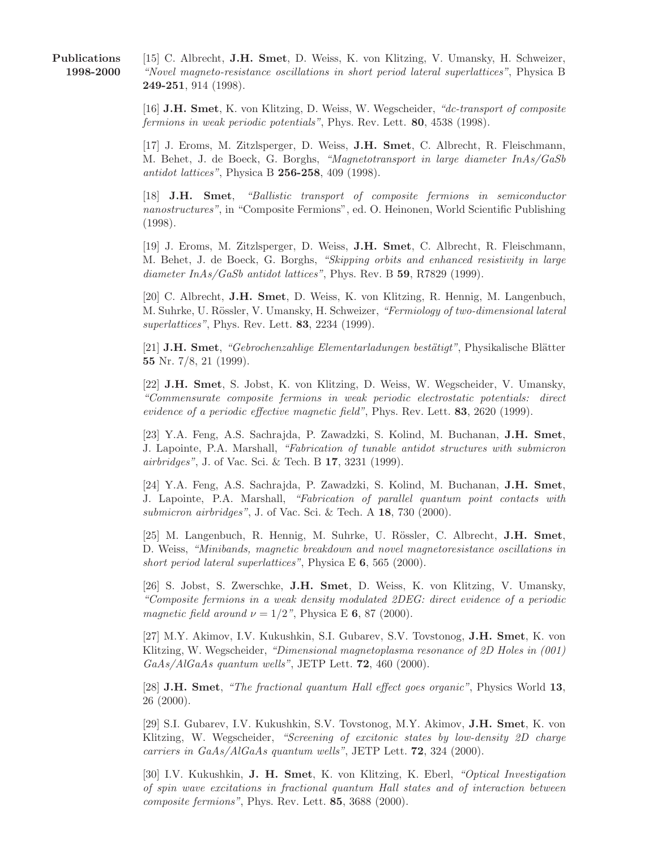[15] C. Albrecht, J.H. Smet, D. Weiss, K. von Klitzing, V. Umansky, H. Schweizer, "Novel magneto-resistance oscillations in short period lateral superlattices", Physica B 249-251, 914 (1998).

[16] J.H. Smet, K. von Klitzing, D. Weiss, W. Wegscheider, "dc-transport of composite fermions in weak periodic potentials", Phys. Rev. Lett. 80, 4538 (1998).

[17] J. Eroms, M. Zitzlsperger, D. Weiss, J.H. Smet, C. Albrecht, R. Fleischmann, M. Behet, J. de Boeck, G. Borghs, "Magnetotransport in large diameter InAs/GaSb antidot lattices", Physica B 256-258, 409 (1998).

[18] J.H. Smet, "Ballistic transport of composite fermions in semiconductor nanostructures", in "Composite Fermions", ed. O. Heinonen, World Scientific Publishing (1998).

[19] J. Eroms, M. Zitzlsperger, D. Weiss, J.H. Smet, C. Albrecht, R. Fleischmann, M. Behet, J. de Boeck, G. Borghs, "Skipping orbits and enhanced resistivity in large diameter InAs/GaSb antidot lattices", Phys. Rev. B 59, R7829 (1999).

[20] C. Albrecht, J.H. Smet, D. Weiss, K. von Klitzing, R. Hennig, M. Langenbuch, M. Suhrke, U. Rössler, V. Umansky, H. Schweizer, "Fermiology of two-dimensional lateral superlattices", Phys. Rev. Lett. 83, 2234 (1999).

 $[21]$  J.H. Smet, "Gebrochenzahlige Elementarladungen bestätigt", Physikalische Blätter 55 Nr. 7/8, 21 (1999).

[22] J.H. Smet, S. Jobst, K. von Klitzing, D. Weiss, W. Wegscheider, V. Umansky, "Commensurate composite fermions in weak periodic electrostatic potentials: direct evidence of a periodic effective magnetic field", Phys. Rev. Lett. 83, 2620 (1999).

[23] Y.A. Feng, A.S. Sachrajda, P. Zawadzki, S. Kolind, M. Buchanan, J.H. Smet, J. Lapointe, P.A. Marshall, "Fabrication of tunable antidot structures with submicron airbridges", J. of Vac. Sci. & Tech. B 17, 3231 (1999).

[24] Y.A. Feng, A.S. Sachrajda, P. Zawadzki, S. Kolind, M. Buchanan, J.H. Smet, J. Lapointe, P.A. Marshall, "Fabrication of parallel quantum point contacts with submicron airbridges", J. of Vac. Sci. & Tech. A 18, 730 (2000).

[25] M. Langenbuch, R. Hennig, M. Suhrke, U. Rössler, C. Albrecht, J.H. Smet, D. Weiss, "Minibands, magnetic breakdown and novel magnetoresistance oscillations in short period lateral superlattices", Physica E  $6, 565$  (2000).

[26] S. Jobst, S. Zwerschke, J.H. Smet, D. Weiss, K. von Klitzing, V. Umansky, "Composite fermions in a weak density modulated 2DEG: direct evidence of a periodic magnetic field around  $\nu = 1/2$ ", Physica E 6, 87 (2000).

[27] M.Y. Akimov, I.V. Kukushkin, S.I. Gubarev, S.V. Tovstonog, J.H. Smet, K. von Klitzing, W. Wegscheider, "Dimensional magnetoplasma resonance of 2D Holes in (001) GaAs/AlGaAs quantum wells", JETP Lett. 72, 460 (2000).

[28] J.H. Smet, "The fractional quantum Hall effect goes organic", Physics World 13, 26 (2000).

[29] S.I. Gubarev, I.V. Kukushkin, S.V. Tovstonog, M.Y. Akimov, J.H. Smet, K. von Klitzing, W. Wegscheider, "Screening of excitonic states by low-density 2D charge carriers in GaAs/AlGaAs quantum wells", JETP Lett. 72, 324 (2000).

[30] I.V. Kukushkin, J. H. Smet, K. von Klitzing, K. Eberl, "Optical Investigation of spin wave excitations in fractional quantum Hall states and of interaction between composite fermions", Phys. Rev. Lett. 85, 3688 (2000).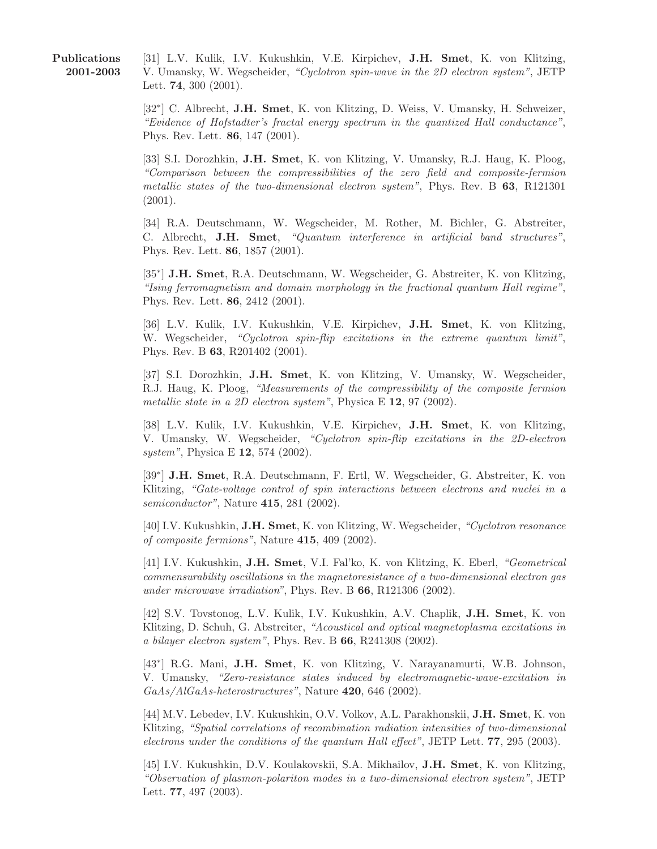Publications 2001-2003

[31] L.V. Kulik, I.V. Kukushkin, V.E. Kirpichev, J.H. Smet, K. von Klitzing, V. Umansky, W. Wegscheider, "Cyclotron spin-wave in the 2D electron system", JETP Lett. 74, 300 (2001).

[32<sup>∗</sup> ] C. Albrecht, J.H. Smet, K. von Klitzing, D. Weiss, V. Umansky, H. Schweizer, "Evidence of Hofstadter's fractal energy spectrum in the quantized Hall conductance", Phys. Rev. Lett. 86, 147 (2001).

[33] S.I. Dorozhkin, J.H. Smet, K. von Klitzing, V. Umansky, R.J. Haug, K. Ploog, "Comparison between the compressibilities of the zero field and composite-fermion metallic states of the two-dimensional electron system", Phys. Rev. B 63, R121301 (2001).

[34] R.A. Deutschmann, W. Wegscheider, M. Rother, M. Bichler, G. Abstreiter, C. Albrecht, J.H. Smet, "Quantum interference in artificial band structures", Phys. Rev. Lett. 86, 1857 (2001).

[35<sup>\*</sup>] J.H. Smet, R.A. Deutschmann, W. Wegscheider, G. Abstreiter, K. von Klitzing, "Ising ferromagnetism and domain morphology in the fractional quantum Hall regime", Phys. Rev. Lett. 86, 2412 (2001).

[36] L.V. Kulik, I.V. Kukushkin, V.E. Kirpichev, J.H. Smet, K. von Klitzing, W. Wegscheider, "Cyclotron spin-flip excitations in the extreme quantum limit", Phys. Rev. B 63, R201402 (2001).

[37] S.I. Dorozhkin, J.H. Smet, K. von Klitzing, V. Umansky, W. Wegscheider, R.J. Haug, K. Ploog, "Measurements of the compressibility of the composite fermion metallic state in a 2D electron system", Physica E 12, 97 (2002).

[38] L.V. Kulik, I.V. Kukushkin, V.E. Kirpichev, J.H. Smet, K. von Klitzing, V. Umansky, W. Wegscheider, "Cyclotron spin-flip excitations in the 2D-electron system", Physica E **12**, 574 (2002).

[39<sup>\*</sup>] J.H. Smet, R.A. Deutschmann, F. Ertl, W. Wegscheider, G. Abstreiter, K. von Klitzing, "Gate-voltage control of spin interactions between electrons and nuclei in a semiconductor", Nature 415, 281 (2002).

[40] I.V. Kukushkin, J.H. Smet, K. von Klitzing, W. Wegscheider, "Cyclotron resonance of composite fermions", Nature 415, 409 (2002).

[41] I.V. Kukushkin, J.H. Smet, V.I. Fal'ko, K. von Klitzing, K. Eberl, "Geometrical commensurability oscillations in the magnetoresistance of a two-dimensional electron gas under microwave irradiation", Phys. Rev. B 66, R121306 (2002).

[42] S.V. Tovstonog, L.V. Kulik, I.V. Kukushkin, A.V. Chaplik, J.H. Smet, K. von Klitzing, D. Schuh, G. Abstreiter, "Acoustical and optical magnetoplasma excitations in a bilayer electron system", Phys. Rev. B 66, R241308 (2002).

[43<sup>\*</sup>] R.G. Mani, J.H. Smet, K. von Klitzing, V. Narayanamurti, W.B. Johnson, V. Umansky, "Zero-resistance states induced by electromagnetic-wave-excitation in GaAs/AlGaAs-heterostructures", Nature 420, 646 (2002).

[44] M.V. Lebedev, I.V. Kukushkin, O.V. Volkov, A.L. Parakhonskii, J.H. Smet, K. von Klitzing, "Spatial correlations of recombination radiation intensities of two-dimensional electrons under the conditions of the quantum Hall effect", JETP Lett. 77, 295 (2003).

[45] I.V. Kukushkin, D.V. Koulakovskii, S.A. Mikhailov, J.H. Smet, K. von Klitzing, "Observation of plasmon-polariton modes in a two-dimensional electron system", JETP Lett. 77, 497 (2003).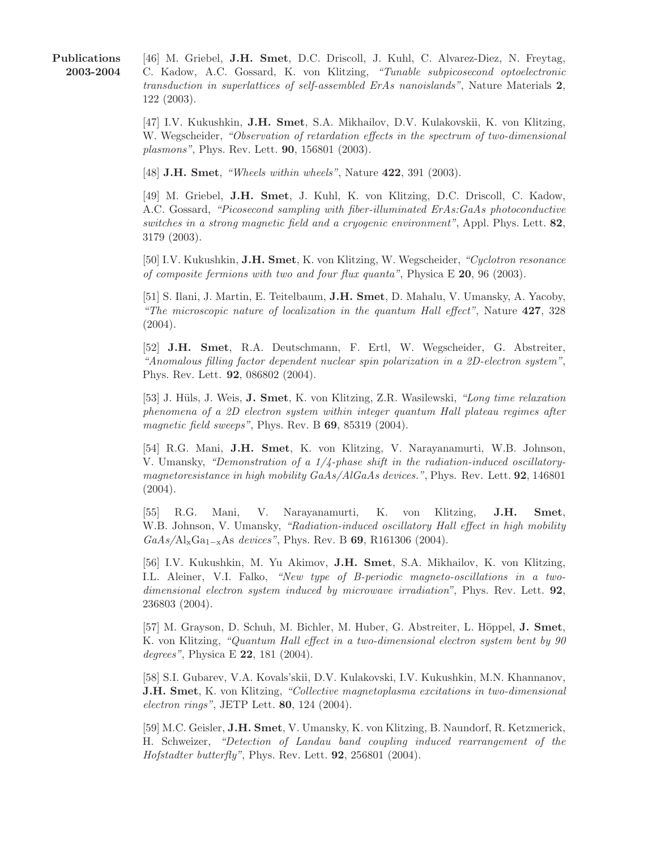Publications 2003-2004 [46] M. Griebel, J.H. Smet, D.C. Driscoll, J. Kuhl, C. Alvarez-Diez, N. Freytag, C. Kadow, A.C. Gossard, K. von Klitzing, "Tunable subpicosecond optoelectronic transduction in superlattices of self-assembled ErAs nanoislands", Nature Materials 2, 122 (2003).

[47] I.V. Kukushkin, J.H. Smet, S.A. Mikhailov, D.V. Kulakovskii, K. von Klitzing, W. Wegscheider, "Observation of retardation effects in the spectrum of two-dimensional plasmons", Phys. Rev. Lett. 90, 156801 (2003).

[48] **J.H. Smet**, "Wheels within wheels", Nature **422**, 391 (2003).

[49] M. Griebel, J.H. Smet, J. Kuhl, K. von Klitzing, D.C. Driscoll, C. Kadow, A.C. Gossard, "Picosecond sampling with fiber-illuminated ErAs:GaAs photoconductive switches in a strong magnetic field and a cryogenic environment", Appl. Phys. Lett.  $82$ , 3179 (2003).

[50] I.V. Kukushkin, J.H. Smet, K. von Klitzing, W. Wegscheider, "Cyclotron resonance of composite fermions with two and four flux quanta", Physica E  $20$ , 96 (2003).

[51] S. Ilani, J. Martin, E. Teitelbaum, J.H. Smet, D. Mahalu, V. Umansky, A. Yacoby, "The microscopic nature of localization in the quantum Hall effect", Nature 427, 328 (2004).

[52] J.H. Smet, R.A. Deutschmann, F. Ertl, W. Wegscheider, G. Abstreiter, "Anomalous filling factor dependent nuclear spin polarization in a 2D-electron system", Phys. Rev. Lett. 92, 086802 (2004).

[53] J. Hüls, J. Weis, J. Smet, K. von Klitzing, Z.R. Wasilewski, "Long time relaxation" phenomena of a 2D electron system within integer quantum Hall plateau regimes after magnetic field sweeps", Phys. Rev. B 69, 85319 (2004).

[54] R.G. Mani, J.H. Smet, K. von Klitzing, V. Narayanamurti, W.B. Johnson, V. Umansky, "Demonstration of a 1/4-phase shift in the radiation-induced oscillatorymagnetoresistance in high mobility GaAs/AlGaAs devices.", Phys. Rev. Lett. **92**, 146801 (2004).

[55] R.G. Mani, V. Narayanamurti, K. von Klitzing, J.H. Smet, W.B. Johnson, V. Umansky, "Radiation-induced oscillatory Hall effect in high mobility  $GaAs/\mathrm{Al}_{\mathrm{x}}\mathrm{Ga}_{1-\mathrm{x}}\mathrm{As}$  devices", Phys. Rev. B 69, R161306 (2004).

[56] I.V. Kukushkin, M. Yu Akimov, J.H. Smet, S.A. Mikhailov, K. von Klitzing, I.L. Aleiner, V.I. Falko, "New type of B-periodic magneto-oscillations in a twodimensional electron system induced by microwave irradiation", Phys. Rev. Lett. **92**, 236803 (2004).

[57] M. Grayson, D. Schuh, M. Bichler, M. Huber, G. Abstreiter, L. Höppel, J. Smet, K. von Klitzing, "Quantum Hall effect in a two-dimensional electron system bent by 90 degrees", Physica E 22, 181 (2004).

[58] S.I. Gubarev, V.A. Kovals'skii, D.V. Kulakovski, I.V. Kukushkin, M.N. Khannanov, **J.H. Smet, K.** von Klitzing, "Collective magnetoplasma excitations in two-dimensional electron rings", JETP Lett. 80, 124 (2004).

[59] M.C. Geisler, J.H. Smet, V. Umansky, K. von Klitzing, B. Naundorf, R. Ketzmerick, H. Schweizer, "Detection of Landau band coupling induced rearrangement of the Hofstadter butterfly", Phys. Rev. Lett. 92, 256801 (2004).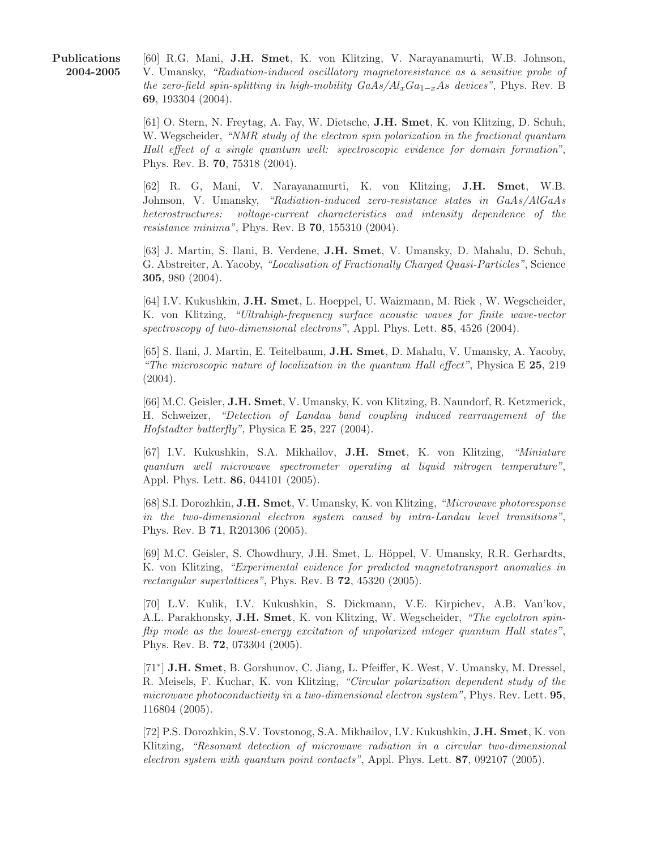Publications 2004-2005

[60] R.G. Mani, J.H. Smet, K. von Klitzing, V. Narayanamurti, W.B. Johnson, V. Umansky, "Radiation-induced oscillatory magnetoresistance as a sensitive probe of the zero-field spin-splitting in high-mobility  $GaAs/Al_xGa_{1-x}As$  devices", Phys. Rev. B 69, 193304 (2004).

[61] O. Stern, N. Freytag, A. Fay, W. Dietsche, J.H. Smet, K. von Klitzing, D. Schuh, W. Wegscheider, "NMR study of the electron spin polarization in the fractional quantum Hall effect of a single quantum well: spectroscopic evidence for domain formation", Phys. Rev. B. 70, 75318 (2004).

[62] R. G, Mani, V. Narayanamurti, K. von Klitzing, J.H. Smet, W.B. Johnson, V. Umansky, "Radiation-induced zero-resistance states in GaAs/AlGaAs heterostructures: voltage-current characteristics and intensity dependence of the resistance minima", Phys. Rev. B 70, 155310 (2004).

[63] J. Martin, S. Ilani, B. Verdene, J.H. Smet, V. Umansky, D. Mahalu, D. Schuh, G. Abstreiter, A. Yacoby, "Localisation of Fractionally Charged Quasi-Particles", Science 305, 980 (2004).

[64] I.V. Kukushkin, J.H. Smet, L. Hoeppel, U. Waizmann, M. Riek , W. Wegscheider, K. von Klitzing, "Ultrahigh-frequency surface acoustic waves for finite wave-vector spectroscopy of two-dimensional electrons", Appl. Phys. Lett. 85, 4526 (2004).

[65] S. Ilani, J. Martin, E. Teitelbaum, J.H. Smet, D. Mahalu, V. Umansky, A. Yacoby, "The microscopic nature of localization in the quantum Hall effect", Physica  $E$  25, 219 (2004).

[66] M.C. Geisler, J.H. Smet, V. Umansky, K. von Klitzing, B. Naundorf, R. Ketzmerick, H. Schweizer, "Detection of Landau band coupling induced rearrangement of the *Hofstadter butterfly*", Physica E  $25$ , 227 (2004).

[67] I.V. Kukushkin, S.A. Mikhailov, J.H. Smet, K. von Klitzing, "Miniature quantum well microwave spectrometer operating at liquid nitrogen temperature", Appl. Phys. Lett. 86, 044101 (2005).

[68] S.I. Dorozhkin, J.H. Smet, V. Umansky, K. von Klitzing, "Microwave photoresponse in the two-dimensional electron system caused by intra-Landau level transitions", Phys. Rev. B 71, R201306 (2005).

[69] M.C. Geisler, S. Chowdhury, J.H. Smet, L. Höppel, V. Umansky, R.R. Gerhardts, K. von Klitzing, "Experimental evidence for predicted magnetotransport anomalies in rectangular superlattices", Phys. Rev. B 72, 45320 (2005).

[70] L.V. Kulik, I.V. Kukushkin, S. Dickmann, V.E. Kirpichev, A.B. Van'kov, A.L. Parakhonsky, J.H. Smet, K. von Klitzing, W. Wegscheider, "The cyclotron spinflip mode as the lowest-energy excitation of unpolarized integer quantum Hall states", Phys. Rev. B. 72, 073304 (2005).

[71<sup>∗</sup> ] J.H. Smet, B. Gorshunov, C. Jiang, L. Pfeiffer, K. West, V. Umansky, M. Dressel, R. Meisels, F. Kuchar, K. von Klitzing, "Circular polarization dependent study of the microwave photoconductivity in a two-dimensional electron system", Phys. Rev. Lett. 95, 116804 (2005).

[72] P.S. Dorozhkin, S.V. Tovstonog, S.A. Mikhailov, I.V. Kukushkin, J.H. Smet, K. von Klitzing, "Resonant detection of microwave radiation in a circular two-dimensional electron system with quantum point contacts", Appl. Phys. Lett. 87, 092107 (2005).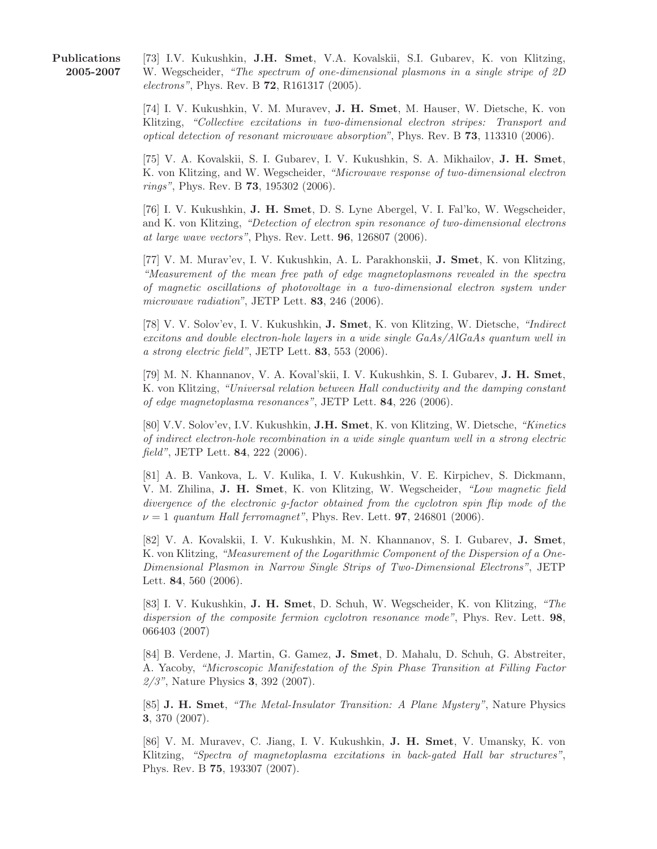Publications 2005-2007

[73] I.V. Kukushkin, J.H. Smet, V.A. Kovalskii, S.I. Gubarev, K. von Klitzing, W. Wegscheider, "The spectrum of one-dimensional plasmons in a single stripe of 2D electrons", Phys. Rev. B 72, R161317 (2005).

[74] I. V. Kukushkin, V. M. Muravev, J. H. Smet, M. Hauser, W. Dietsche, K. von Klitzing, "Collective excitations in two-dimensional electron stripes: Transport and optical detection of resonant microwave absorption", Phys. Rev. B 73, 113310 (2006).

[75] V. A. Kovalskii, S. I. Gubarev, I. V. Kukushkin, S. A. Mikhailov, J. H. Smet, K. von Klitzing, and W. Wegscheider, "Microwave response of two-dimensional electron rings", Phys. Rev. B 73, 195302 (2006).

[76] I. V. Kukushkin, J. H. Smet, D. S. Lyne Abergel, V. I. Fal'ko, W. Wegscheider, and K. von Klitzing, "Detection of electron spin resonance of two-dimensional electrons at large wave vectors", Phys. Rev. Lett. 96, 126807 (2006).

[77] V. M. Murav'ev, I. V. Kukushkin, A. L. Parakhonskii, J. Smet, K. von Klitzing, "Measurement of the mean free path of edge magnetoplasmons revealed in the spectra of magnetic oscillations of photovoltage in a two-dimensional electron system under microwave radiation", JETP Lett. 83, 246 (2006).

[78] V. V. Solov'ev, I. V. Kukushkin, J. Smet, K. von Klitzing, W. Dietsche, "Indirect excitons and double electron-hole layers in a wide single GaAs/AlGaAs quantum well in a strong electric field", JETP Lett. 83, 553 (2006).

[79] M. N. Khannanov, V. A. Koval'skii, I. V. Kukushkin, S. I. Gubarev, J. H. Smet, K. von Klitzing, "Universal relation between Hall conductivity and the damping constant of edge magnetoplasma resonances", JETP Lett. 84, 226 (2006).

[80] V.V. Solov'ev, I.V. Kukushkin, J.H. Smet, K. von Klitzing, W. Dietsche, "Kinetics of indirect electron-hole recombination in a wide single quantum well in a strong electric field", JETP Lett. 84, 222 (2006).

[81] A. B. Vankova, L. V. Kulika, I. V. Kukushkin, V. E. Kirpichev, S. Dickmann, V. M. Zhilina, J. H. Smet, K. von Klitzing, W. Wegscheider, "Low magnetic field divergence of the electronic g-factor obtained from the cyclotron spin flip mode of the  $\nu = 1$  quantum Hall ferromagnet", Phys. Rev. Lett. **97**, 246801 (2006).

[82] V. A. Kovalskii, I. V. Kukushkin, M. N. Khannanov, S. I. Gubarev, J. Smet, K. von Klitzing, "Measurement of the Logarithmic Component of the Dispersion of a One-Dimensional Plasmon in Narrow Single Strips of Two-Dimensional Electrons", JETP Lett. 84, 560 (2006).

[83] I. V. Kukushkin, J. H. Smet, D. Schuh, W. Wegscheider, K. von Klitzing, "The dispersion of the composite fermion cyclotron resonance mode", Phys. Rev. Lett. 98, 066403 (2007)

[84] B. Verdene, J. Martin, G. Gamez, J. Smet, D. Mahalu, D. Schuh, G. Abstreiter, A. Yacoby, "Microscopic Manifestation of the Spin Phase Transition at Filling Factor 2/3", Nature Physics 3, 392 (2007).

[85] J. H. Smet, "The Metal-Insulator Transition: A Plane Mystery", Nature Physics 3, 370 (2007).

[86] V. M. Muravev, C. Jiang, I. V. Kukushkin, J. H. Smet, V. Umansky, K. von Klitzing, "Spectra of magnetoplasma excitations in back-gated Hall bar structures", Phys. Rev. B 75, 193307 (2007).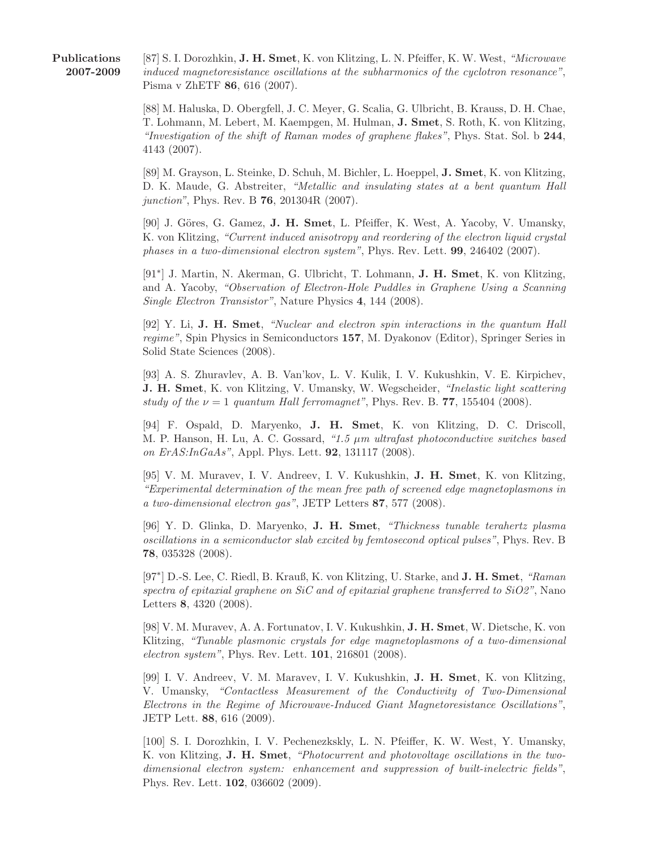[87] S. I. Dorozhkin, J. H. Smet, K. von Klitzing, L. N. Pfeiffer, K. W. West, "Microwave induced magnetoresistance oscillations at the subharmonics of the cyclotron resonance", Pisma v ZhETF 86, 616 (2007).

[88] M. Haluska, D. Obergfell, J. C. Meyer, G. Scalia, G. Ulbricht, B. Krauss, D. H. Chae, T. Lohmann, M. Lebert, M. Kaempgen, M. Hulman, J. Smet, S. Roth, K. von Klitzing, "Investigation of the shift of Raman modes of graphene flakes", Phys. Stat. Sol. b 244, 4143 (2007).

[89] M. Grayson, L. Steinke, D. Schuh, M. Bichler, L. Hoeppel, J. Smet, K. von Klitzing, D. K. Maude, G. Abstreiter, "Metallic and insulating states at a bent quantum Hall *junction*", Phys. Rev. B **76**, 201304R (2007).

[90] J. Göres, G. Gamez, J. H. Smet, L. Pfeiffer, K. West, A. Yacoby, V. Umansky, K. von Klitzing, "Current induced anisotropy and reordering of the electron liquid crystal phases in a two-dimensional electron system", Phys. Rev. Lett. 99, 246402 (2007).

[91<sup>∗</sup> ] J. Martin, N. Akerman, G. Ulbricht, T. Lohmann, J. H. Smet, K. von Klitzing, and A. Yacoby, "Observation of Electron-Hole Puddles in Graphene Using a Scanning Single Electron Transistor", Nature Physics 4, 144 (2008).

[92] Y. Li, J. H. Smet, "Nuclear and electron spin interactions in the quantum Hall regime", Spin Physics in Semiconductors 157, M. Dyakonov (Editor), Springer Series in Solid State Sciences (2008).

[93] A. S. Zhuravlev, A. B. Van'kov, L. V. Kulik, I. V. Kukushkin, V. E. Kirpichev, J. H. Smet, K. von Klitzing, V. Umansky, W. Wegscheider, "Inelastic light scattering study of the  $\nu = 1$  quantum Hall ferromagnet", Phys. Rev. B. 77, 155404 (2008).

[94] F. Ospald, D. Maryenko, J. H. Smet, K. von Klitzing, D. C. Driscoll, M. P. Hanson, H. Lu, A. C. Gossard, "1.5  $\mu$ m ultrafast photoconductive switches based on ErAS:InGaAs", Appl. Phys. Lett. 92, 131117 (2008).

[95] V. M. Muravev, I. V. Andreev, I. V. Kukushkin, J. H. Smet, K. von Klitzing, "Experimental determination of the mean free path of screened edge magnetoplasmons in a two-dimensional electron gas", JETP Letters 87, 577 (2008).

[96] Y. D. Glinka, D. Maryenko, J. H. Smet, "Thickness tunable terahertz plasma oscillations in a semiconductor slab excited by femtosecond optical pulses", Phys. Rev. B 78, 035328 (2008).

[97<sup>\*</sup>] D.-S. Lee, C. Riedl, B. Krauß, K. von Klitzing, U. Starke, and J. H. Smet, "Raman spectra of epitaxial graphene on  $SiC$  and of epitaxial graphene transferred to  $SiO2$ ", Nano Letters 8, 4320 (2008).

[98] V. M. Muravev, A. A. Fortunatov, I. V. Kukushkin, J. H. Smet, W. Dietsche, K. von Klitzing, "Tunable plasmonic crystals for edge magnetoplasmons of a two-dimensional electron system", Phys. Rev. Lett. 101, 216801 (2008).

[99] I. V. Andreev, V. M. Maravev, I. V. Kukushkin, J. H. Smet, K. von Klitzing, V. Umansky, "Contactless Measurement of the Conductivity of Two-Dimensional Electrons in the Regime of Microwave-Induced Giant Magnetoresistance Oscillations", JETP Lett. 88, 616 (2009).

[100] S. I. Dorozhkin, I. V. Pechenezkskly, L. N. Pfeiffer, K. W. West, Y. Umansky, K. von Klitzing, J. H. Smet, "Photocurrent and photovoltage oscillations in the twodimensional electron system: enhancement and suppression of built-inelectric fields", Phys. Rev. Lett. 102, 036602 (2009).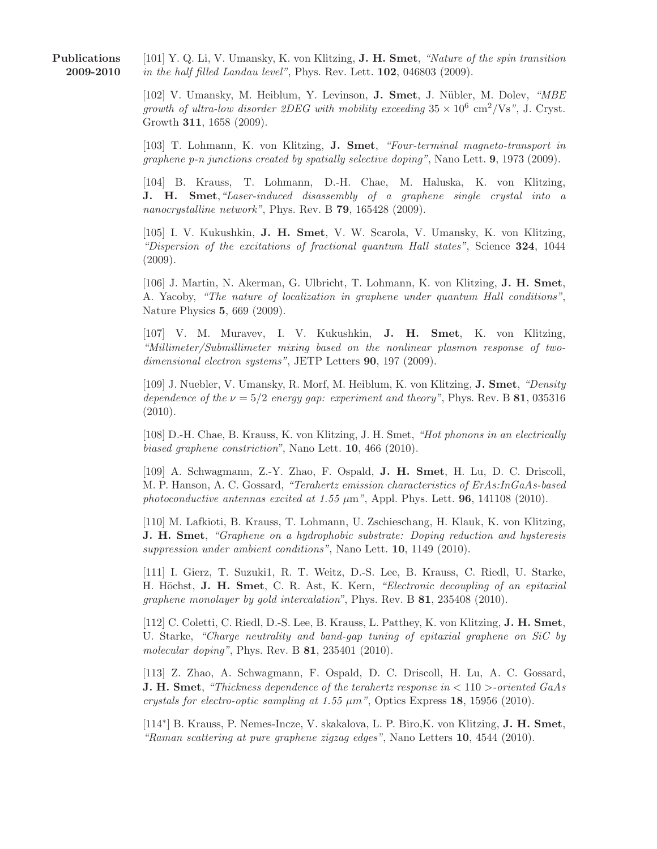Publications 2009-2010

[101] Y. Q. Li, V. Umansky, K. von Klitzing, **J. H. Smet**, "Nature of the spin transition" in the half filled Landau level", Phys. Rev. Lett. 102, 046803 (2009).

[102] V. Umansky, M. Heiblum, Y. Levinson, J. Smet, J. Nübler, M. Dolev, "MBE growth of ultra-low disorder 2DEG with mobility exceeding  $35 \times 10^6 \text{ cm}^2/\text{Vs}$ ", J. Cryst. Growth 311, 1658 (2009).

[103] T. Lohmann, K. von Klitzing, J. Smet, "Four-terminal magneto-transport in graphene p-n junctions created by spatially selective doping", Nano Lett. **9**, 1973 (2009).

[104] B. Krauss, T. Lohmann, D.-H. Chae, M. Haluska, K. von Klitzing, J. H. Smet,"Laser-induced disassembly of a graphene single crystal into a nanocrystalline network", Phys. Rev. B **79**, 165428 (2009).

[105] I. V. Kukushkin, J. H. Smet, V. W. Scarola, V. Umansky, K. von Klitzing, "Dispersion of the excitations of fractional quantum Hall states", Science 324, 1044 (2009).

[106] J. Martin, N. Akerman, G. Ulbricht, T. Lohmann, K. von Klitzing, J. H. Smet, A. Yacoby, "The nature of localization in graphene under quantum Hall conditions", Nature Physics 5, 669 (2009).

[107] V. M. Muravev, I. V. Kukushkin, J. H. Smet, K. von Klitzing, "Millimeter/Submillimeter mixing based on the nonlinear plasmon response of twodimensional electron systems", JETP Letters 90, 197 (2009).

[109] J. Nuebler, V. Umansky, R. Morf, M. Heiblum, K. von Klitzing, J. Smet, "Density dependence of the  $\nu = 5/2$  energy gap: experiment and theory", Phys. Rev. B 81, 035316 (2010).

[108] D.-H. Chae, B. Krauss, K. von Klitzing, J. H. Smet, "Hot phonons in an electrically biased graphene constriction", Nano Lett. 10, 466 (2010).

[109] A. Schwagmann, Z.-Y. Zhao, F. Ospald, J. H. Smet, H. Lu, D. C. Driscoll, M. P. Hanson, A. C. Gossard, "Terahertz emission characteristics of ErAs:InGaAs-based photoconductive antennas excited at  $1.55 \mu m$ ", Appl. Phys. Lett. **96**, 141108 (2010).

[110] M. Lafkioti, B. Krauss, T. Lohmann, U. Zschieschang, H. Klauk, K. von Klitzing, J. H. Smet, "Graphene on a hydrophobic substrate: Doping reduction and hysteresis suppression under ambient conditions", Nano Lett. **10**, 1149 (2010).

[111] I. Gierz, T. Suzuki1, R. T. Weitz, D.-S. Lee, B. Krauss, C. Riedl, U. Starke, H. Höchst, J. H. Smet, C. R. Ast, K. Kern, "Electronic decoupling of an epitaxial graphene monolayer by gold intercalation", Phys. Rev. B 81, 235408 (2010).

[112] C. Coletti, C. Riedl, D.-S. Lee, B. Krauss, L. Patthey, K. von Klitzing, J. H. Smet, U. Starke, "Charge neutrality and band-gap tuning of epitaxial graphene on SiC by molecular doping", Phys. Rev. B 81, 235401 (2010).

[113] Z. Zhao, A. Schwagmann, F. Ospald, D. C. Driscoll, H. Lu, A. C. Gossard, **J. H. Smet,** "Thickness dependence of the terahertz response in  $\lt 110$  >-oriented GaAs crystals for electro-optic sampling at 1.55  $\mu$ m", Optics Express 18, 15956 (2010).

[114<sup>\*</sup>] B. Krauss, P. Nemes-Incze, V. skakalova, L. P. Biro, K. von Klitzing, J. H. Smet, "Raman scattering at pure graphene zigzag edges", Nano Letters 10, 4544 (2010).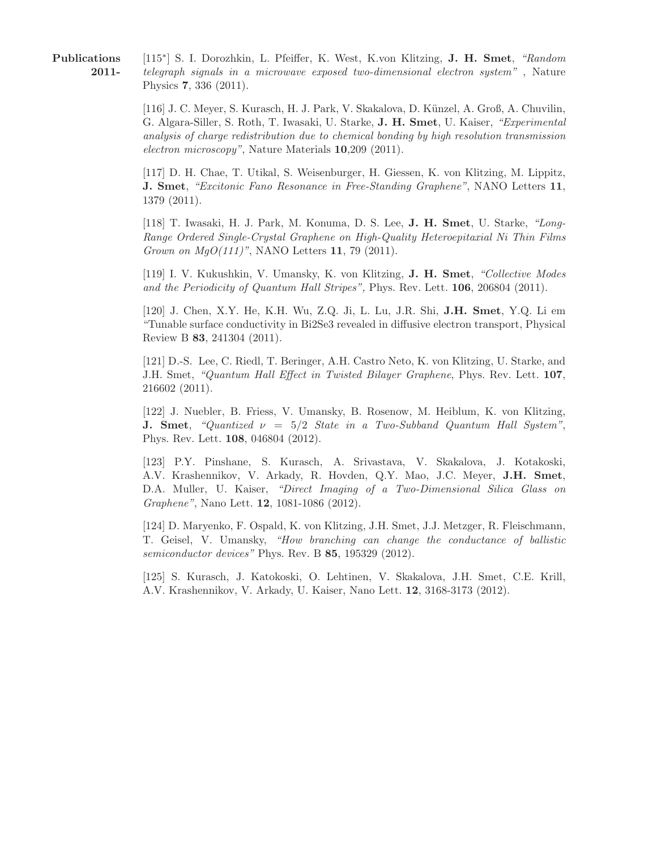Publications 2011-

[115<sup>\*</sup>] S. I. Dorozhkin, L. Pfeiffer, K. West, K.von Klitzing, J. H. Smet, "Random telegraph signals in a microwave exposed two-dimensional electron system" , Nature Physics 7, 336 (2011).

[116] J. C. Meyer, S. Kurasch, H. J. Park, V. Skakalova, D. K¨unzel, A. Groß, A. Chuvilin, G. Algara-Siller, S. Roth, T. Iwasaki, U. Starke, J. H. Smet, U. Kaiser, "Experimental analysis of charge redistribution due to chemical bonding by high resolution transmission electron microscopy", Nature Materials 10,209 (2011).

[117] D. H. Chae, T. Utikal, S. Weisenburger, H. Giessen, K. von Klitzing, M. Lippitz, J. Smet, "Excitonic Fano Resonance in Free-Standing Graphene", NANO Letters 11, 1379 (2011).

[118] T. Iwasaki, H. J. Park, M. Konuma, D. S. Lee, J. H. Smet, U. Starke, "Long-Range Ordered Single-Crystal Graphene on High-Quality Heteroepitaxial Ni Thin Films Grown on  $MgO(111)$ ", NANO Letters 11, 79 (2011).

[119] I. V. Kukushkin, V. Umansky, K. von Klitzing, J. H. Smet, "Collective Modes and the Periodicity of Quantum Hall Stripes", Phys. Rev. Lett. **106**, 206804 (2011).

[120] J. Chen, X.Y. He, K.H. Wu, Z.Q. Ji, L. Lu, J.R. Shi, J.H. Smet, Y.Q. Li em "Tunable surface conductivity in Bi2Se3 revealed in diffusive electron transport, Physical Review B 83, 241304 (2011).

[121] D.-S. Lee, C. Riedl, T. Beringer, A.H. Castro Neto, K. von Klitzing, U. Starke, and J.H. Smet, "Quantum Hall Effect in Twisted Bilayer Graphene, Phys. Rev. Lett. 107, 216602 (2011).

[122] J. Nuebler, B. Friess, V. Umansky, B. Rosenow, M. Heiblum, K. von Klitzing, **J.** Smet, "Quantized  $\nu = 5/2$  State in a Two-Subband Quantum Hall System", Phys. Rev. Lett. 108, 046804 (2012).

[123] P.Y. Pinshane, S. Kurasch, A. Srivastava, V. Skakalova, J. Kotakoski, A.V. Krashennikov, V. Arkady, R. Hovden, Q.Y. Mao, J.C. Meyer, J.H. Smet, D.A. Muller, U. Kaiser, "Direct Imaging of a Two-Dimensional Silica Glass on Graphene", Nano Lett. 12, 1081-1086 (2012).

[124] D. Maryenko, F. Ospald, K. von Klitzing, J.H. Smet, J.J. Metzger, R. Fleischmann, T. Geisel, V. Umansky, "How branching can change the conductance of ballistic semiconductor devices" Phys. Rev. B 85, 195329 (2012).

[125] S. Kurasch, J. Katokoski, O. Lehtinen, V. Skakalova, J.H. Smet, C.E. Krill, A.V. Krashennikov, V. Arkady, U. Kaiser, Nano Lett. 12, 3168-3173 (2012).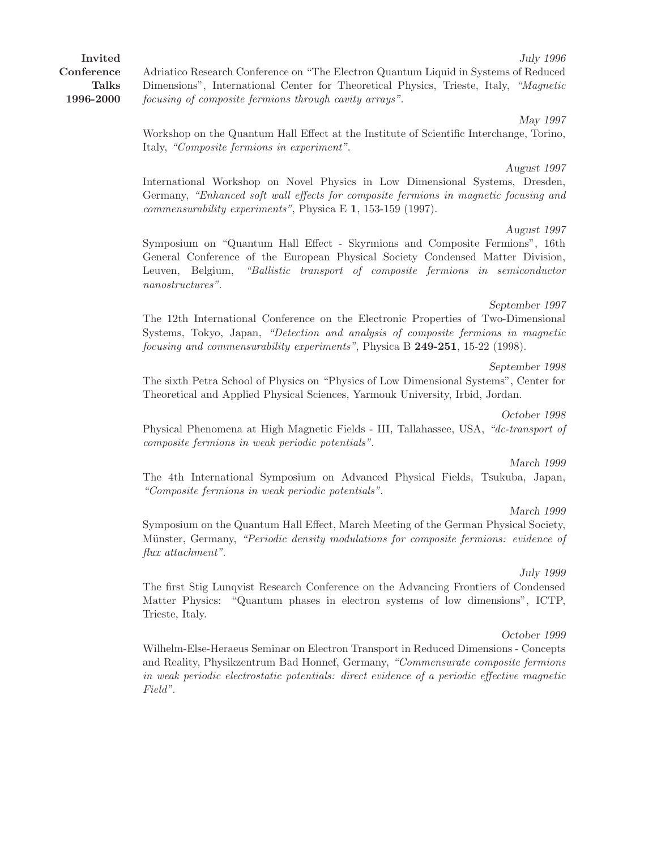Invited Conference Talks 1996-2000 July 1996 Adriatico Research Conference on "The Electron Quantum Liquid in Systems of Reduced Dimensions", International Center for Theoretical Physics, Trieste, Italy, "Magnetic focusing of composite fermions through cavity arrays".

> May 1997 Workshop on the Quantum Hall Effect at the Institute of Scientific Interchange, Torino, Italy, "Composite fermions in experiment".

> August 1997 International Workshop on Novel Physics in Low Dimensional Systems, Dresden, Germany, "Enhanced soft wall effects for composite fermions in magnetic focusing and commensurability experiments", Physica E 1, 153-159 (1997).

> August 1997 Symposium on "Quantum Hall Effect - Skyrmions and Composite Fermions", 16th General Conference of the European Physical Society Condensed Matter Division, Leuven, Belgium, "Ballistic transport of composite fermions in semiconductor nanostructures".

> September 1997 The 12th International Conference on the Electronic Properties of Two-Dimensional Systems, Tokyo, Japan, "Detection and analysis of composite fermions in magnetic focusing and commensurability experiments", Physica B  $249-251$ , 15-22 (1998).

> September 1998 The sixth Petra School of Physics on "Physics of Low Dimensional Systems", Center for Theoretical and Applied Physical Sciences, Yarmouk University, Irbid, Jordan.

> Physical Phenomena at High Magnetic Fields - III, Tallahassee, USA, "dc-transport of composite fermions in weak periodic potentials".

> The 4th International Symposium on Advanced Physical Fields, Tsukuba, Japan, "Composite fermions in weak periodic potentials".

> Symposium on the Quantum Hall Effect, March Meeting of the German Physical Society, Münster, Germany, "Periodic density modulations for composite fermions: evidence of flux attachment".

> The first Stig Lunqvist Research Conference on the Advancing Frontiers of Condensed Matter Physics: "Quantum phases in electron systems of low dimensions", ICTP, Trieste, Italy.

> October 1999 Wilhelm-Else-Heraeus Seminar on Electron Transport in Reduced Dimensions - Concepts and Reality, Physikzentrum Bad Honnef, Germany, "Commensurate composite fermions in weak periodic electrostatic potentials: direct evidence of a periodic effective magnetic Field".

# July 1999

# October 1998

#### March 1999

#### March 1999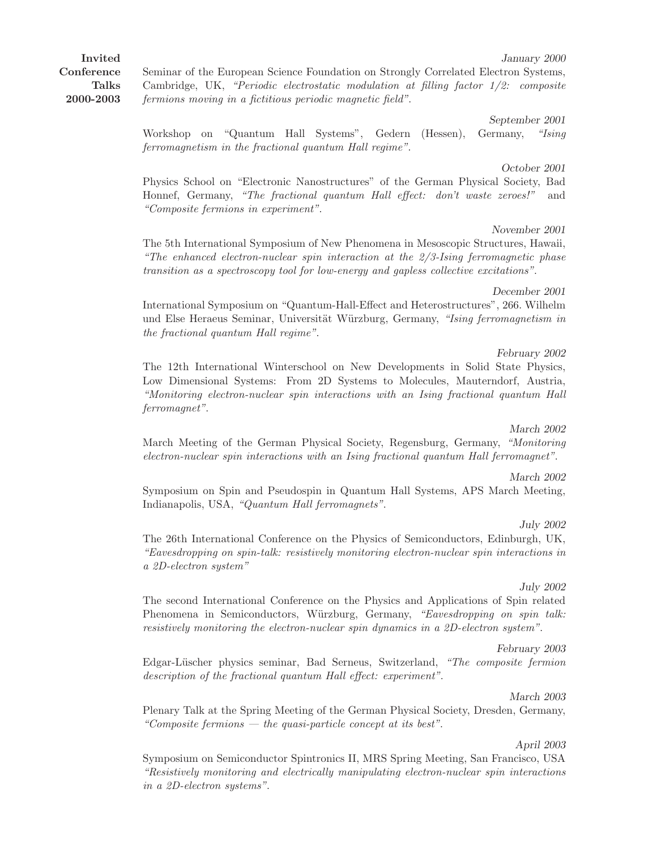Invited **Conference** Talks 2000-2003

Seminar of the European Science Foundation on Strongly Correlated Electron Systems, Cambridge, UK, "Periodic electrostatic modulation at filling factor 1/2: composite fermions moving in a fictitious periodic magnetic field".

September 2001 Workshop on "Quantum Hall Systems", Gedern (Hessen), Germany, "Ising ferromagnetism in the fractional quantum Hall regime".

Physics School on "Electronic Nanostructures" of the German Physical Society, Bad Honnef, Germany, "The fractional quantum Hall effect: don't waste zeroes!" and "Composite fermions in experiment".

The 5th International Symposium of New Phenomena in Mesoscopic Structures, Hawaii, "The enhanced electron-nuclear spin interaction at the 2/3-Ising ferromagnetic phase transition as a spectroscopy tool for low-energy and gapless collective excitations".

December 2001 International Symposium on "Quantum-Hall-Effect and Heterostructures", 266. Wilhelm und Else Heraeus Seminar, Universität Würzburg, Germany, "Ising ferromagnetism in the fractional quantum Hall regime".

February 2002 The 12th International Winterschool on New Developments in Solid State Physics, Low Dimensional Systems: From 2D Systems to Molecules, Mauterndorf, Austria, "Monitoring electron-nuclear spin interactions with an Ising fractional quantum Hall ferromagnet".

March Meeting of the German Physical Society, Regensburg, Germany, "Monitoring electron-nuclear spin interactions with an Ising fractional quantum Hall ferromagnet".

Symposium on Spin and Pseudospin in Quantum Hall Systems, APS March Meeting, Indianapolis, USA, "Quantum Hall ferromagnets".

The 26th International Conference on the Physics of Semiconductors, Edinburgh, UK, "Eavesdropping on spin-talk: resistively monitoring electron-nuclear spin interactions in a 2D-electron system"

The second International Conference on the Physics and Applications of Spin related Phenomena in Semiconductors, Würzburg, Germany, "Eavesdropping on spin talk: resistively monitoring the electron-nuclear spin dynamics in a 2D-electron system".

February 2003 Edgar-Lüscher physics seminar, Bad Serneus, Switzerland, "The composite fermion" description of the fractional quantum Hall effect: experiment".

Plenary Talk at the Spring Meeting of the German Physical Society, Dresden, Germany, "Composite fermions  $-$  the quasi-particle concept at its best".

April 2003 Symposium on Semiconductor Spintronics II, MRS Spring Meeting, San Francisco, USA "Resistively monitoring and electrically manipulating electron-nuclear spin interactions in a 2D-electron systems".

### July 2002

# November 2001

### March 2002

### March 2002

### July 2002

# March 2003

October 2001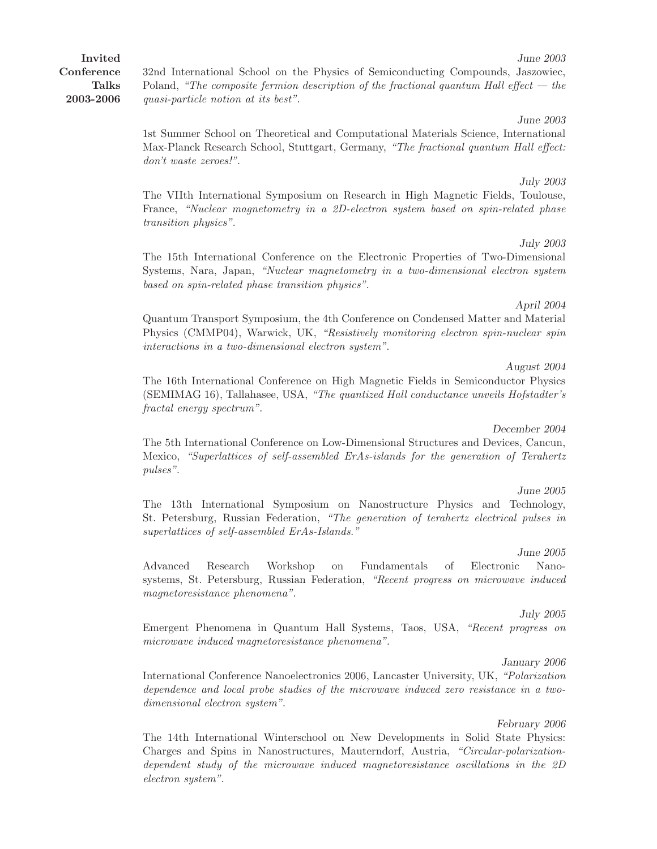32nd International School on the Physics of Semiconducting Compounds, Jaszowiec, Poland, "The composite fermion description of the fractional quantum Hall effect  $-$  the quasi-particle notion at its best".

June 2003 1st Summer School on Theoretical and Computational Materials Science, International Max-Planck Research School, Stuttgart, Germany, "The fractional quantum Hall effect: don't waste zeroes!".

### July 2003 The VIIth International Symposium on Research in High Magnetic Fields, Toulouse, France, "Nuclear magnetometry in a 2D-electron system based on spin-related phase transition physics".

July 2003 The 15th International Conference on the Electronic Properties of Two-Dimensional Systems, Nara, Japan, "Nuclear magnetometry in a two-dimensional electron system based on spin-related phase transition physics".

### April 2004

June 2003

Quantum Transport Symposium, the 4th Conference on Condensed Matter and Material Physics (CMMP04), Warwick, UK, "Resistively monitoring electron spin-nuclear spin interactions in a two-dimensional electron system".

#### August 2004

The 16th International Conference on High Magnetic Fields in Semiconductor Physics (SEMIMAG 16), Tallahasee, USA, "The quantized Hall conductance unveils Hofstadter's fractal energy spectrum".

#### December 2004

The 5th International Conference on Low-Dimensional Structures and Devices, Cancun, Mexico, "Superlattices of self-assembled ErAs-islands for the generation of Terahertz pulses".

#### June 2005

The 13th International Symposium on Nanostructure Physics and Technology, St. Petersburg, Russian Federation, "The generation of terahertz electrical pulses in superlattices of self-assembled ErAs-Islands."

#### June 2005

Advanced Research Workshop on Fundamentals of Electronic Nanosystems, St. Petersburg, Russian Federation, "Recent progress on microwave induced magnetoresistance phenomena".

#### July 2005

Emergent Phenomena in Quantum Hall Systems, Taos, USA, "Recent progress on microwave induced magnetoresistance phenomena".

#### January 2006

International Conference Nanoelectronics 2006, Lancaster University, UK, "Polarization dependence and local probe studies of the microwave induced zero resistance in a twodimensional electron system".

#### February 2006

The 14th International Winterschool on New Developments in Solid State Physics: Charges and Spins in Nanostructures, Mauterndorf, Austria, "Circular-polarizationdependent study of the microwave induced magnetoresistance oscillations in the 2D electron system".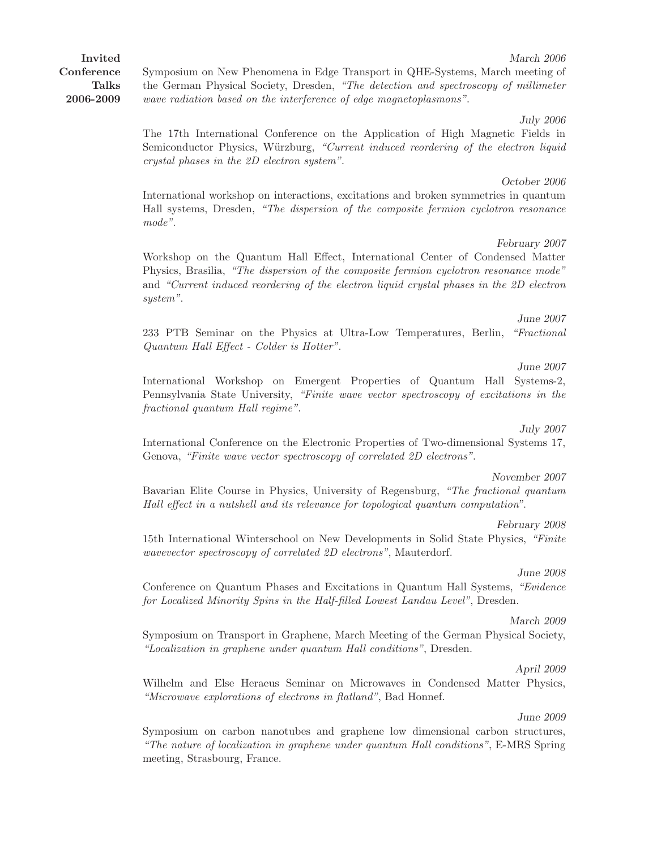Invited **Conference** Talks 2006-2009 Symposium on New Phenomena in Edge Transport in QHE-Systems, March meeting of the German Physical Society, Dresden, "The detection and spectroscopy of millimeter

wave radiation based on the interference of edge magnetoplasmons". July 2006

The 17th International Conference on the Application of High Magnetic Fields in Semiconductor Physics, Würzburg, "Current induced reordering of the electron liquid crystal phases in the 2D electron system".

### International workshop on interactions, excitations and broken symmetries in quantum Hall systems, Dresden, "The dispersion of the composite fermion cyclotron resonance mode".

February 2007 Workshop on the Quantum Hall Effect, International Center of Condensed Matter Physics, Brasilia, "The dispersion of the composite fermion cyclotron resonance mode" and "Current induced reordering of the electron liquid crystal phases in the 2D electron system".

June 2007 233 PTB Seminar on the Physics at Ultra-Low Temperatures, Berlin, "Fractional Quantum Hall Effect - Colder is Hotter".

### June 2007

March 2006

October 2006

International Workshop on Emergent Properties of Quantum Hall Systems-2, Pennsylvania State University, "Finite wave vector spectroscopy of excitations in the fractional quantum Hall regime".

#### July 2007

International Conference on the Electronic Properties of Two-dimensional Systems 17, Genova, "Finite wave vector spectroscopy of correlated 2D electrons".

#### November 2007

Bavarian Elite Course in Physics, University of Regensburg, "The fractional quantum Hall effect in a nutshell and its relevance for topological quantum computation".

#### February 2008

15th International Winterschool on New Developments in Solid State Physics, "Finite wavevector spectroscopy of correlated 2D electrons", Mauterdorf.

#### June 2008

Conference on Quantum Phases and Excitations in Quantum Hall Systems, "Evidence for Localized Minority Spins in the Half-filled Lowest Landau Level", Dresden.

#### March 2009

Symposium on Transport in Graphene, March Meeting of the German Physical Society, "Localization in graphene under quantum Hall conditions", Dresden.

#### April 2009

Wilhelm and Else Heraeus Seminar on Microwaves in Condensed Matter Physics, "Microwave explorations of electrons in flatland", Bad Honnef.

#### June 2009

Symposium on carbon nanotubes and graphene low dimensional carbon structures, "The nature of localization in graphene under quantum Hall conditions", E-MRS Spring meeting, Strasbourg, France.